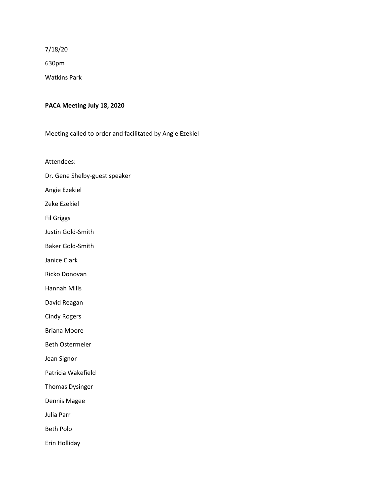7/18/20

630pm

Watkins Park

### **PACA Meeting July 18, 2020**

Meeting called to order and facilitated by Angie Ezekiel

Attendees:

Dr. Gene Shelby-guest speaker

Angie Ezekiel

Zeke Ezekiel

Fil Griggs

Justin Gold-Smith

Baker Gold-Smith

Janice Clark

Ricko Donovan

Hannah Mills

David Reagan

Cindy Rogers

Briana Moore

Beth Ostermeier

Jean Signor

Patricia Wakefield

Thomas Dysinger

Dennis Magee

Julia Parr

Beth Polo

Erin Holliday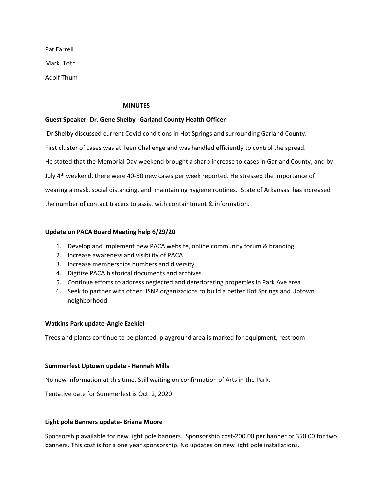Pat Farrell Mark Toth Adolf Thum

#### **MINUTES**

### **Guest Speaker- Dr. Gene Shelby -Garland County Health Officer**

Dr Shelby discussed current Covid conditions in Hot Springs and surrounding Garland County. First cluster of cases was at Teen Challenge and was handled efficiently to control the spread. He stated that the Memorial Day weekend brought a sharp increase to cases in Garland County, and by July  $4<sup>th</sup>$  weekend, there were 40-50 new cases per week reported. He stressed the importance of wearing a mask, social distancing, and maintaining hygiene routines. State of Arkansas has increased the number of contact tracers to assist with containtment & information.

### **Update on PACA Board Meeting help 6/29/20**

- 1. Develop and implement new PACA website, online community forum & branding
- 2. Increase awareness and visibility of PACA
- 3. Increase memberships numbers and diversity
- 4. Digitize PACA historical documents and archives
- 5. Continue efforts to address neglected and deteriorating properties in Park Ave area
- 6. Seek to partner with other HSNP organizations ro build a better Hot Springs and Uptown neighborhood

### **Watkins Park update-Angie Ezekiel-**

Trees and plants continue to be planted, playground area is marked for equipment, restroom

### **Summerfest Uptown update - Hannah Mills**

No new information at this time. Still waiting on confirmation of Arts in the Park.

Tentative date for Summerfest is Oct. 2, 2020

### **Light pole Banners update- Briana Moore**

Sponsorship available for new light pole banners. Sponsorship cost-200.00 per banner or 350.00 for two banners. This cost is for a one year sponsorship. No updates on new light pole installations.